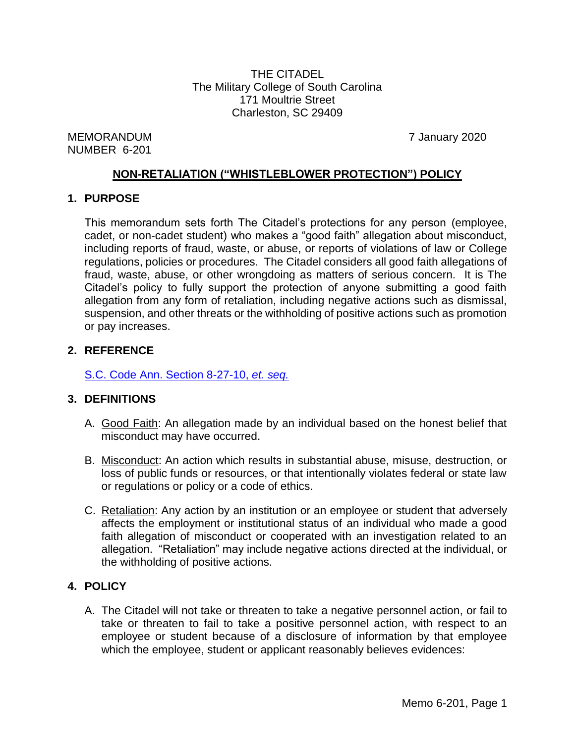THE CITADEL The Military College of South Carolina 171 Moultrie Street Charleston, SC 29409

MEMORANDUM 7 January 2020 NUMBER 6-201

## **NON-RETALIATION ("WHISTLEBLOWER PROTECTION") POLICY**

### **1. PURPOSE**

This memorandum sets forth The Citadel's protections for any person (employee, cadet, or non-cadet student) who makes a "good faith" allegation about misconduct, including reports of fraud, waste, or abuse, or reports of violations of law or College regulations, policies or procedures. The Citadel considers all good faith allegations of fraud, waste, abuse, or other wrongdoing as matters of serious concern. It is The Citadel's policy to fully support the protection of anyone submitting a good faith allegation from any form of retaliation, including negative actions such as dismissal, suspension, and other threats or the withholding of positive actions such as promotion or pay increases.

### **2. REFERENCE**

[S.C. Code Ann. Section 8-27-10,](http://www.scstatehouse.gov/code/t08c027.php) *et. seq.*

### **3. DEFINITIONS**

- A. Good Faith: An allegation made by an individual based on the honest belief that misconduct may have occurred.
- B. Misconduct: An action which results in substantial abuse, misuse, destruction, or loss of public funds or resources, or that intentionally violates federal or state law or regulations or policy or a code of ethics.
- C. Retaliation: Any action by an institution or an employee or student that adversely affects the employment or institutional status of an individual who made a good faith allegation of misconduct or cooperated with an investigation related to an allegation. "Retaliation" may include negative actions directed at the individual, or the withholding of positive actions.

# **4. POLICY**

<span id="page-0-0"></span>A. The Citadel will not take or threaten to take a negative personnel action, or fail to take or threaten to fail to take a positive personnel action, with respect to an employee or student because of a disclosure of information by that employee which the employee, student or applicant reasonably believes evidences: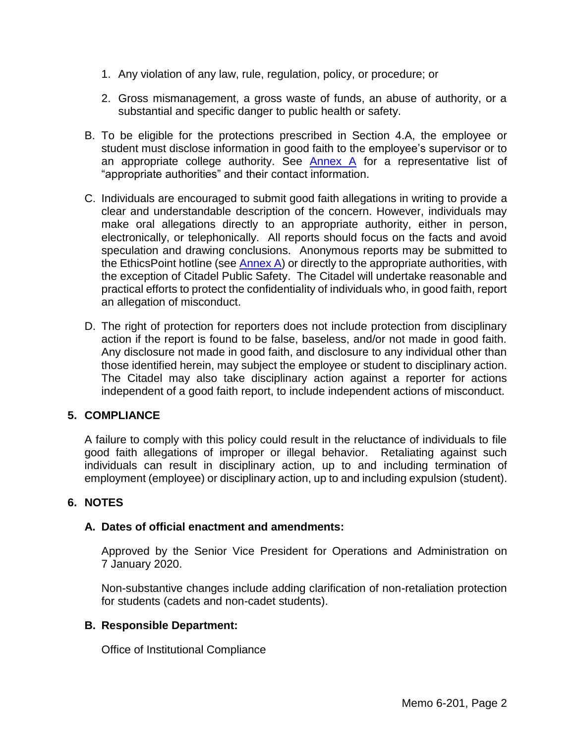- 1. Any violation of any law, rule, regulation, policy, or procedure; or
- 2. Gross mismanagement, a gross waste of funds, an abuse of authority, or a substantial and specific danger to public health or safety.
- B. To be eligible for the protections prescribed in Section 4.A, the employee or student must disclose information in good faith to the employee's supervisor or to an appropriate college authority. See [Annex A](#page-3-0) for a representative list of "appropriate authorities" and their contact information.
- C. Individuals are encouraged to submit good faith allegations in writing to provide a clear and understandable description of the concern. However, individuals may make oral allegations directly to an appropriate authority, either in person, electronically, or telephonically. All reports should focus on the facts and avoid speculation and drawing conclusions. Anonymous reports may be submitted to the EthicsPoint hotline (see [Annex A\)](#page-3-0) or directly to the appropriate authorities, with the exception of Citadel Public Safety. The Citadel will undertake reasonable and practical efforts to protect the confidentiality of individuals who, in good faith, report an allegation of misconduct.
- D. The right of protection for reporters does not include protection from disciplinary action if the report is found to be false, baseless, and/or not made in good faith. Any disclosure not made in good faith, and disclosure to any individual other than those identified herein, may subject the employee or student to disciplinary action. The Citadel may also take disciplinary action against a reporter for actions independent of a good faith report, to include independent actions of misconduct.

### **5. COMPLIANCE**

A failure to comply with this policy could result in the reluctance of individuals to file good faith allegations of improper or illegal behavior. Retaliating against such individuals can result in disciplinary action, up to and including termination of employment (employee) or disciplinary action, up to and including expulsion (student).

### **6. NOTES**

### **A. Dates of official enactment and amendments:**

Approved by the Senior Vice President for Operations and Administration on 7 January 2020.

Non-substantive changes include adding clarification of non-retaliation protection for students (cadets and non-cadet students).

#### **B. Responsible Department:**

Office of Institutional Compliance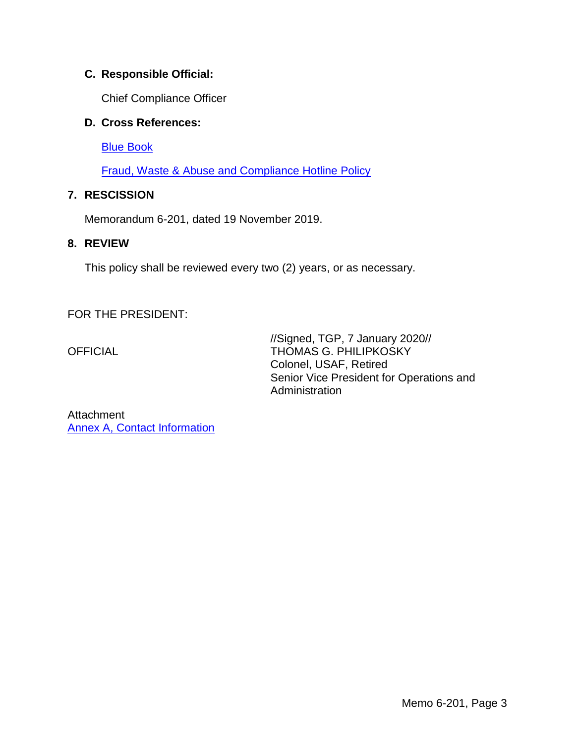# **C. Responsible Official:**

Chief Compliance Officer

## **D. Cross References:**

[Blue Book](http://www.citadel.edu/root/images/commandant/blue-book.pdf)

[Fraud, Waste & Abuse and Compliance Hotline](http://www.citadel.edu/root/images/Policies/fraud-waste-abuse-and-compliance-hotline-policy.pdf) Policy

# **7. RESCISSION**

Memorandum 6-201, dated 19 November 2019.

## **8. REVIEW**

This policy shall be reviewed every two (2) years, or as necessary.

FOR THE PRESIDENT:

//Signed, TGP, 7 January 2020// OFFICIAL THOMAS G. PHILIPKOSKY Colonel, USAF, Retired Senior Vice President for Operations and Administration

Attachment [Annex A, Contact Information](#page-3-0)